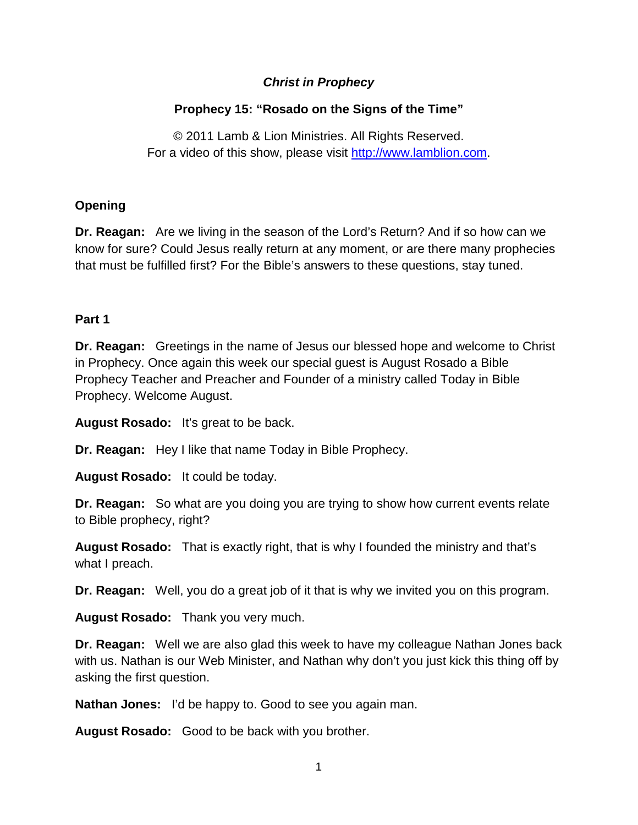## *Christ in Prophecy*

## **Prophecy 15: "Rosado on the Signs of the Time"**

© 2011 Lamb & Lion Ministries. All Rights Reserved. For a video of this show, please visit [http://www.lamblion.com.](http://www.lamblion.com/)

## **Opening**

**Dr. Reagan:** Are we living in the season of the Lord's Return? And if so how can we know for sure? Could Jesus really return at any moment, or are there many prophecies that must be fulfilled first? For the Bible's answers to these questions, stay tuned.

## **Part 1**

**Dr. Reagan:** Greetings in the name of Jesus our blessed hope and welcome to Christ in Prophecy. Once again this week our special guest is August Rosado a Bible Prophecy Teacher and Preacher and Founder of a ministry called Today in Bible Prophecy. Welcome August.

**August Rosado:** It's great to be back.

**Dr. Reagan:** Hey I like that name Today in Bible Prophecy.

**August Rosado:** It could be today.

**Dr. Reagan:** So what are you doing you are trying to show how current events relate to Bible prophecy, right?

**August Rosado:** That is exactly right, that is why I founded the ministry and that's what I preach.

**Dr. Reagan:** Well, you do a great job of it that is why we invited you on this program.

**August Rosado:** Thank you very much.

**Dr. Reagan:** Well we are also glad this week to have my colleague Nathan Jones back with us. Nathan is our Web Minister, and Nathan why don't you just kick this thing off by asking the first question.

**Nathan Jones:** I'd be happy to. Good to see you again man.

**August Rosado:** Good to be back with you brother.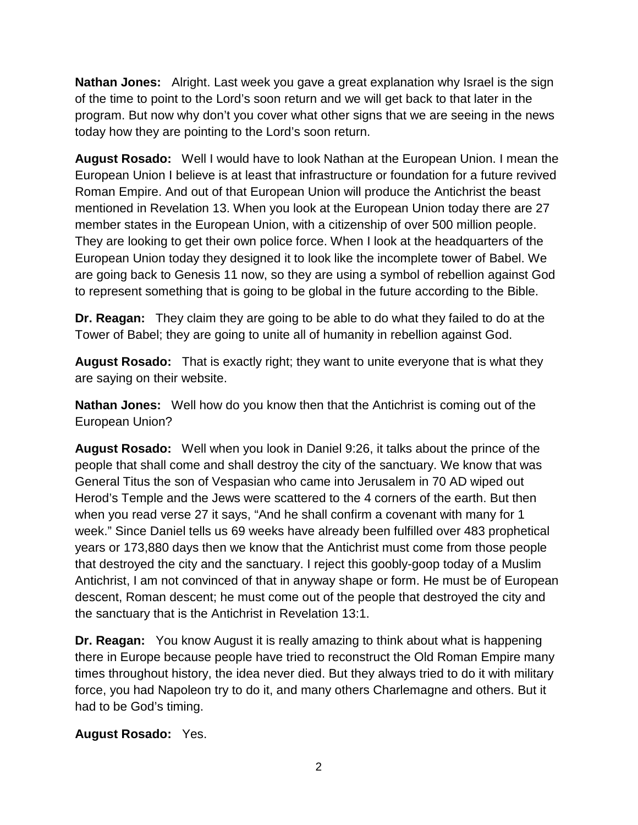**Nathan Jones:** Alright. Last week you gave a great explanation why Israel is the sign of the time to point to the Lord's soon return and we will get back to that later in the program. But now why don't you cover what other signs that we are seeing in the news today how they are pointing to the Lord's soon return.

**August Rosado:** Well I would have to look Nathan at the European Union. I mean the European Union I believe is at least that infrastructure or foundation for a future revived Roman Empire. And out of that European Union will produce the Antichrist the beast mentioned in Revelation 13. When you look at the European Union today there are 27 member states in the European Union, with a citizenship of over 500 million people. They are looking to get their own police force. When I look at the headquarters of the European Union today they designed it to look like the incomplete tower of Babel. We are going back to Genesis 11 now, so they are using a symbol of rebellion against God to represent something that is going to be global in the future according to the Bible.

**Dr. Reagan:** They claim they are going to be able to do what they failed to do at the Tower of Babel; they are going to unite all of humanity in rebellion against God.

**August Rosado:** That is exactly right; they want to unite everyone that is what they are saying on their website.

**Nathan Jones:** Well how do you know then that the Antichrist is coming out of the European Union?

**August Rosado:** Well when you look in Daniel 9:26, it talks about the prince of the people that shall come and shall destroy the city of the sanctuary. We know that was General Titus the son of Vespasian who came into Jerusalem in 70 AD wiped out Herod's Temple and the Jews were scattered to the 4 corners of the earth. But then when you read verse 27 it says, "And he shall confirm a covenant with many for 1 week." Since Daniel tells us 69 weeks have already been fulfilled over 483 prophetical years or 173,880 days then we know that the Antichrist must come from those people that destroyed the city and the sanctuary. I reject this goobly-goop today of a Muslim Antichrist, I am not convinced of that in anyway shape or form. He must be of European descent, Roman descent; he must come out of the people that destroyed the city and the sanctuary that is the Antichrist in Revelation 13:1.

**Dr. Reagan:** You know August it is really amazing to think about what is happening there in Europe because people have tried to reconstruct the Old Roman Empire many times throughout history, the idea never died. But they always tried to do it with military force, you had Napoleon try to do it, and many others Charlemagne and others. But it had to be God's timing.

## **August Rosado:** Yes.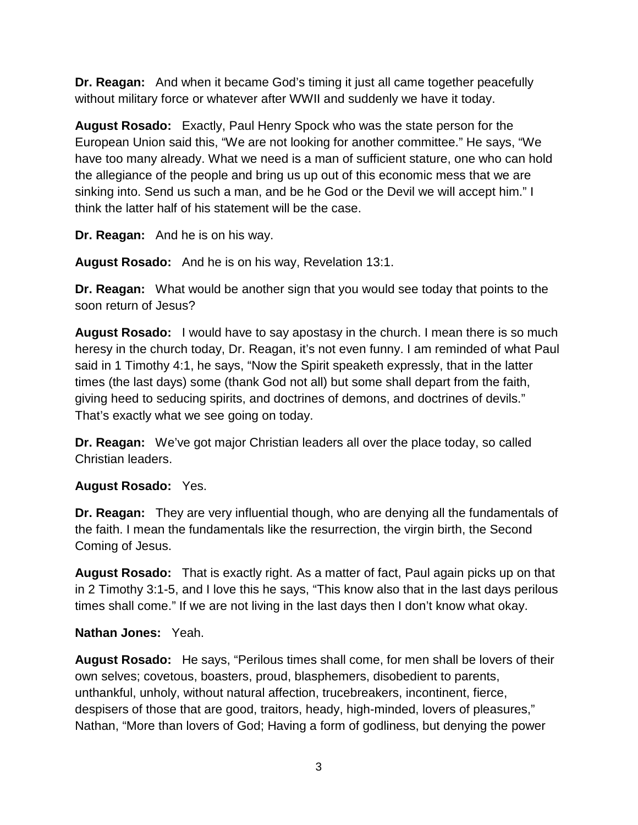**Dr. Reagan:** And when it became God's timing it just all came together peacefully without military force or whatever after WWII and suddenly we have it today.

**August Rosado:** Exactly, Paul Henry Spock who was the state person for the European Union said this, "We are not looking for another committee." He says, "We have too many already. What we need is a man of sufficient stature, one who can hold the allegiance of the people and bring us up out of this economic mess that we are sinking into. Send us such a man, and be he God or the Devil we will accept him." I think the latter half of his statement will be the case.

**Dr. Reagan:** And he is on his way.

**August Rosado:** And he is on his way, Revelation 13:1.

**Dr. Reagan:** What would be another sign that you would see today that points to the soon return of Jesus?

**August Rosado:** I would have to say apostasy in the church. I mean there is so much heresy in the church today, Dr. Reagan, it's not even funny. I am reminded of what Paul said in 1 Timothy 4:1, he says, "Now the Spirit speaketh expressly, that in the latter times (the last days) some (thank God not all) but some shall depart from the faith, giving heed to seducing spirits, and doctrines of demons, and doctrines of devils." That's exactly what we see going on today.

**Dr. Reagan:** We've got major Christian leaders all over the place today, so called Christian leaders.

# **August Rosado:** Yes.

**Dr. Reagan:** They are very influential though, who are denying all the fundamentals of the faith. I mean the fundamentals like the resurrection, the virgin birth, the Second Coming of Jesus.

**August Rosado:** That is exactly right. As a matter of fact, Paul again picks up on that in 2 Timothy 3:1-5, and I love this he says, "This know also that in the last days perilous times shall come." If we are not living in the last days then I don't know what okay.

# **Nathan Jones:** Yeah.

**August Rosado:** He says, "Perilous times shall come, for men shall be lovers of their own selves; covetous, boasters, proud, blasphemers, disobedient to parents, unthankful, unholy, without natural affection, trucebreakers, incontinent, fierce, despisers of those that are good, traitors, heady, high-minded, lovers of pleasures," Nathan, "More than lovers of God; Having a form of godliness, but denying the power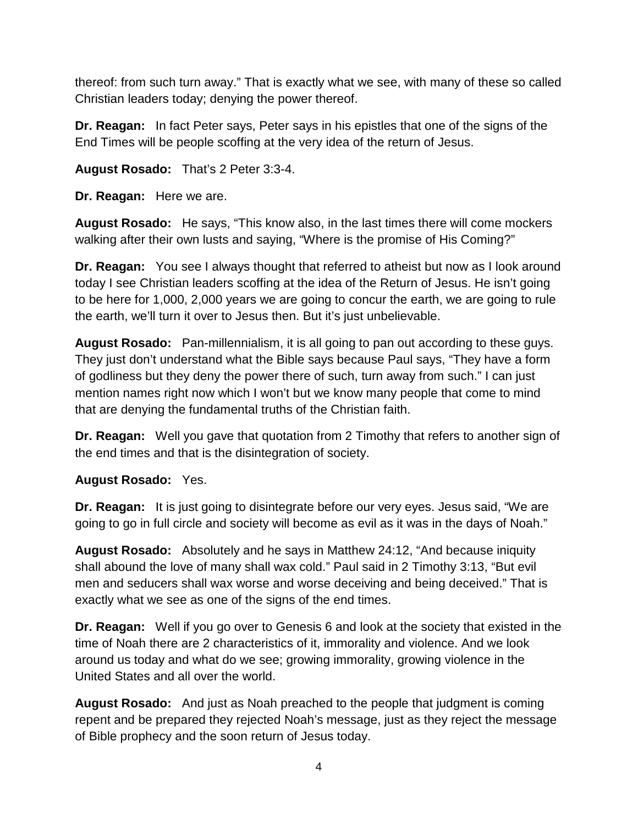thereof: from such turn away." That is exactly what we see, with many of these so called Christian leaders today; denying the power thereof.

**Dr. Reagan:** In fact Peter says, Peter says in his epistles that one of the signs of the End Times will be people scoffing at the very idea of the return of Jesus.

**August Rosado:** That's 2 Peter 3:3-4.

**Dr. Reagan:** Here we are.

**August Rosado:** He says, "This know also, in the last times there will come mockers walking after their own lusts and saying, "Where is the promise of His Coming?"

**Dr. Reagan:** You see I always thought that referred to atheist but now as I look around today I see Christian leaders scoffing at the idea of the Return of Jesus. He isn't going to be here for 1,000, 2,000 years we are going to concur the earth, we are going to rule the earth, we'll turn it over to Jesus then. But it's just unbelievable.

**August Rosado:** Pan-millennialism, it is all going to pan out according to these guys. They just don't understand what the Bible says because Paul says, "They have a form of godliness but they deny the power there of such, turn away from such." I can just mention names right now which I won't but we know many people that come to mind that are denying the fundamental truths of the Christian faith.

**Dr. Reagan:** Well you gave that quotation from 2 Timothy that refers to another sign of the end times and that is the disintegration of society.

**August Rosado:** Yes.

**Dr. Reagan:** It is just going to disintegrate before our very eyes. Jesus said, "We are going to go in full circle and society will become as evil as it was in the days of Noah."

**August Rosado:** Absolutely and he says in Matthew 24:12, "And because iniquity shall abound the love of many shall wax cold." Paul said in 2 Timothy 3:13, "But evil men and seducers shall wax worse and worse deceiving and being deceived." That is exactly what we see as one of the signs of the end times.

**Dr. Reagan:** Well if you go over to Genesis 6 and look at the society that existed in the time of Noah there are 2 characteristics of it, immorality and violence. And we look around us today and what do we see; growing immorality, growing violence in the United States and all over the world.

**August Rosado:** And just as Noah preached to the people that judgment is coming repent and be prepared they rejected Noah's message, just as they reject the message of Bible prophecy and the soon return of Jesus today.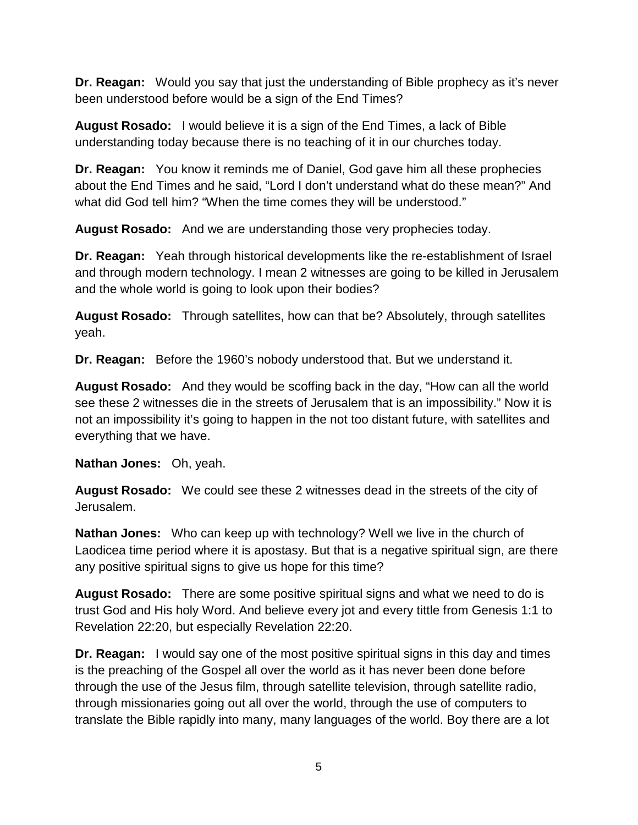**Dr. Reagan:** Would you say that just the understanding of Bible prophecy as it's never been understood before would be a sign of the End Times?

**August Rosado:** I would believe it is a sign of the End Times, a lack of Bible understanding today because there is no teaching of it in our churches today.

**Dr. Reagan:** You know it reminds me of Daniel, God gave him all these prophecies about the End Times and he said, "Lord I don't understand what do these mean?" And what did God tell him? "When the time comes they will be understood."

**August Rosado:** And we are understanding those very prophecies today.

**Dr. Reagan:** Yeah through historical developments like the re-establishment of Israel and through modern technology. I mean 2 witnesses are going to be killed in Jerusalem and the whole world is going to look upon their bodies?

**August Rosado:** Through satellites, how can that be? Absolutely, through satellites yeah.

**Dr. Reagan:** Before the 1960's nobody understood that. But we understand it.

**August Rosado:** And they would be scoffing back in the day, "How can all the world see these 2 witnesses die in the streets of Jerusalem that is an impossibility." Now it is not an impossibility it's going to happen in the not too distant future, with satellites and everything that we have.

**Nathan Jones:** Oh, yeah.

**August Rosado:** We could see these 2 witnesses dead in the streets of the city of Jerusalem.

**Nathan Jones:** Who can keep up with technology? Well we live in the church of Laodicea time period where it is apostasy. But that is a negative spiritual sign, are there any positive spiritual signs to give us hope for this time?

**August Rosado:** There are some positive spiritual signs and what we need to do is trust God and His holy Word. And believe every jot and every tittle from Genesis 1:1 to Revelation 22:20, but especially Revelation 22:20.

**Dr. Reagan:** I would say one of the most positive spiritual signs in this day and times is the preaching of the Gospel all over the world as it has never been done before through the use of the Jesus film, through satellite television, through satellite radio, through missionaries going out all over the world, through the use of computers to translate the Bible rapidly into many, many languages of the world. Boy there are a lot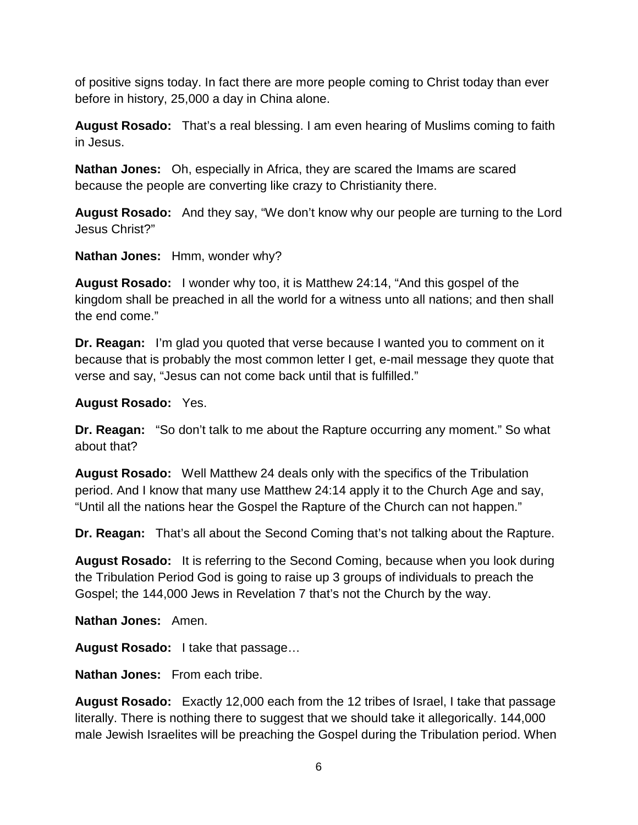of positive signs today. In fact there are more people coming to Christ today than ever before in history, 25,000 a day in China alone.

**August Rosado:** That's a real blessing. I am even hearing of Muslims coming to faith in Jesus.

**Nathan Jones:** Oh, especially in Africa, they are scared the Imams are scared because the people are converting like crazy to Christianity there.

**August Rosado:** And they say, "We don't know why our people are turning to the Lord Jesus Christ?"

**Nathan Jones:** Hmm, wonder why?

**August Rosado:** I wonder why too, it is Matthew 24:14, "And this gospel of the kingdom shall be preached in all the world for a witness unto all nations; and then shall the end come."

**Dr. Reagan:** I'm glad you quoted that verse because I wanted you to comment on it because that is probably the most common letter I get, e-mail message they quote that verse and say, "Jesus can not come back until that is fulfilled."

## **August Rosado:** Yes.

**Dr. Reagan:** "So don't talk to me about the Rapture occurring any moment." So what about that?

**August Rosado:** Well Matthew 24 deals only with the specifics of the Tribulation period. And I know that many use Matthew 24:14 apply it to the Church Age and say, "Until all the nations hear the Gospel the Rapture of the Church can not happen."

**Dr. Reagan:** That's all about the Second Coming that's not talking about the Rapture.

**August Rosado:** It is referring to the Second Coming, because when you look during the Tribulation Period God is going to raise up 3 groups of individuals to preach the Gospel; the 144,000 Jews in Revelation 7 that's not the Church by the way.

**Nathan Jones:** Amen.

**August Rosado:** I take that passage…

**Nathan Jones:** From each tribe.

**August Rosado:** Exactly 12,000 each from the 12 tribes of Israel, I take that passage literally. There is nothing there to suggest that we should take it allegorically. 144,000 male Jewish Israelites will be preaching the Gospel during the Tribulation period. When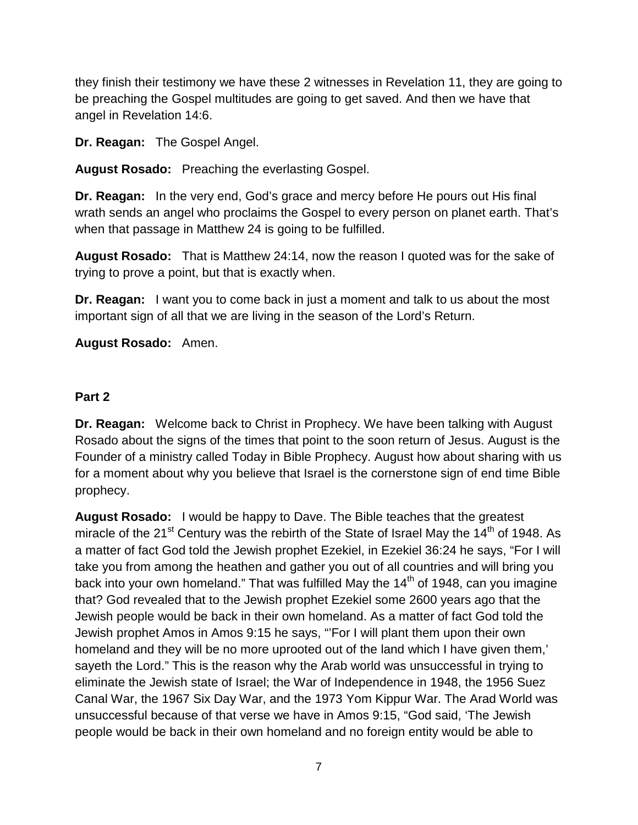they finish their testimony we have these 2 witnesses in Revelation 11, they are going to be preaching the Gospel multitudes are going to get saved. And then we have that angel in Revelation 14:6.

**Dr. Reagan:** The Gospel Angel.

**August Rosado:** Preaching the everlasting Gospel.

**Dr. Reagan:** In the very end, God's grace and mercy before He pours out His final wrath sends an angel who proclaims the Gospel to every person on planet earth. That's when that passage in Matthew 24 is going to be fulfilled.

**August Rosado:** That is Matthew 24:14, now the reason I quoted was for the sake of trying to prove a point, but that is exactly when.

**Dr. Reagan:** I want you to come back in just a moment and talk to us about the most important sign of all that we are living in the season of the Lord's Return.

**August Rosado:** Amen.

#### **Part 2**

**Dr. Reagan:** Welcome back to Christ in Prophecy. We have been talking with August Rosado about the signs of the times that point to the soon return of Jesus. August is the Founder of a ministry called Today in Bible Prophecy. August how about sharing with us for a moment about why you believe that Israel is the cornerstone sign of end time Bible prophecy.

**August Rosado:** I would be happy to Dave. The Bible teaches that the greatest miracle of the 21<sup>st</sup> Century was the rebirth of the State of Israel May the 14<sup>th</sup> of 1948. As a matter of fact God told the Jewish prophet Ezekiel, in Ezekiel 36:24 he says, "For I will take you from among the heathen and gather you out of all countries and will bring you back into your own homeland." That was fulfilled May the  $14<sup>th</sup>$  of 1948, can you imagine that? God revealed that to the Jewish prophet Ezekiel some 2600 years ago that the Jewish people would be back in their own homeland. As a matter of fact God told the Jewish prophet Amos in Amos 9:15 he says, "'For I will plant them upon their own homeland and they will be no more uprooted out of the land which I have given them,' sayeth the Lord." This is the reason why the Arab world was unsuccessful in trying to eliminate the Jewish state of Israel; the War of Independence in 1948, the 1956 Suez Canal War, the 1967 Six Day War, and the 1973 Yom Kippur War. The Arad World was unsuccessful because of that verse we have in Amos 9:15, "God said, 'The Jewish people would be back in their own homeland and no foreign entity would be able to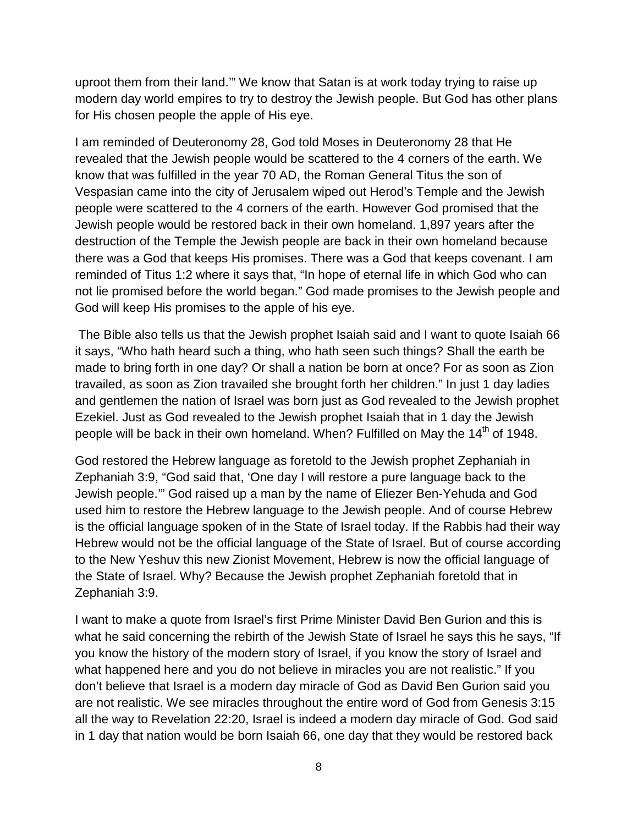uproot them from their land.'" We know that Satan is at work today trying to raise up modern day world empires to try to destroy the Jewish people. But God has other plans for His chosen people the apple of His eye.

I am reminded of Deuteronomy 28, God told Moses in Deuteronomy 28 that He revealed that the Jewish people would be scattered to the 4 corners of the earth. We know that was fulfilled in the year 70 AD, the Roman General Titus the son of Vespasian came into the city of Jerusalem wiped out Herod's Temple and the Jewish people were scattered to the 4 corners of the earth. However God promised that the Jewish people would be restored back in their own homeland. 1,897 years after the destruction of the Temple the Jewish people are back in their own homeland because there was a God that keeps His promises. There was a God that keeps covenant. I am reminded of Titus 1:2 where it says that, "In hope of eternal life in which God who can not lie promised before the world began." God made promises to the Jewish people and God will keep His promises to the apple of his eye.

The Bible also tells us that the Jewish prophet Isaiah said and I want to quote Isaiah 66 it says, "Who hath heard such a thing, who hath seen such things? Shall the earth be made to bring forth in one day? Or shall a nation be born at once? For as soon as Zion travailed, as soon as Zion travailed she brought forth her children." In just 1 day ladies and gentlemen the nation of Israel was born just as God revealed to the Jewish prophet Ezekiel. Just as God revealed to the Jewish prophet Isaiah that in 1 day the Jewish people will be back in their own homeland. When? Fulfilled on May the 14<sup>th</sup> of 1948.

God restored the Hebrew language as foretold to the Jewish prophet Zephaniah in Zephaniah 3:9, "God said that, 'One day I will restore a pure language back to the Jewish people.'" God raised up a man by the name of Eliezer Ben-Yehuda and God used him to restore the Hebrew language to the Jewish people. And of course Hebrew is the official language spoken of in the State of Israel today. If the Rabbis had their way Hebrew would not be the official language of the State of Israel. But of course according to the New Yeshuv this new Zionist Movement, Hebrew is now the official language of the State of Israel. Why? Because the Jewish prophet Zephaniah foretold that in Zephaniah 3:9.

I want to make a quote from Israel's first Prime Minister David Ben Gurion and this is what he said concerning the rebirth of the Jewish State of Israel he says this he says, "If you know the history of the modern story of Israel, if you know the story of Israel and what happened here and you do not believe in miracles you are not realistic." If you don't believe that Israel is a modern day miracle of God as David Ben Gurion said you are not realistic. We see miracles throughout the entire word of God from Genesis 3:15 all the way to Revelation 22:20, Israel is indeed a modern day miracle of God. God said in 1 day that nation would be born Isaiah 66, one day that they would be restored back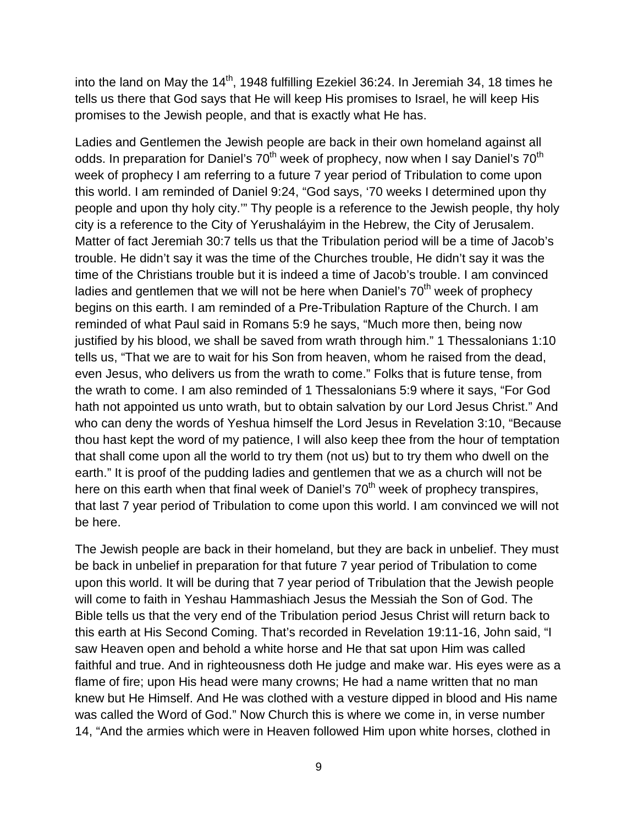into the land on May the  $14<sup>th</sup>$ , 1948 fulfilling Ezekiel 36:24. In Jeremiah 34, 18 times he tells us there that God says that He will keep His promises to Israel, he will keep His promises to the Jewish people, and that is exactly what He has.

Ladies and Gentlemen the Jewish people are back in their own homeland against all odds. In preparation for Daniel's 70<sup>th</sup> week of prophecy, now when I say Daniel's 70<sup>th</sup> week of prophecy I am referring to a future 7 year period of Tribulation to come upon this world. I am reminded of Daniel 9:24, "God says, '70 weeks I determined upon thy people and upon thy holy city.'" Thy people is a reference to the Jewish people, thy holy city is a reference to the City of Yerushaláyim in the Hebrew, the City of Jerusalem. Matter of fact Jeremiah 30:7 tells us that the Tribulation period will be a time of Jacob's trouble. He didn't say it was the time of the Churches trouble, He didn't say it was the time of the Christians trouble but it is indeed a time of Jacob's trouble. I am convinced ladies and gentlemen that we will not be here when Daniel's  $70<sup>th</sup>$  week of prophecy begins on this earth. I am reminded of a Pre-Tribulation Rapture of the Church. I am reminded of what Paul said in Romans 5:9 he says, "Much more then, being now justified by his blood, we shall be saved from wrath through him." 1 Thessalonians 1:10 tells us, "That we are to wait for his Son from heaven, whom he raised from the dead, even Jesus, who delivers us from the wrath to come." Folks that is future tense, from the wrath to come. I am also reminded of 1 Thessalonians 5:9 where it says, "For God hath not appointed us unto wrath, but to obtain salvation by our Lord Jesus Christ." And who can deny the words of Yeshua himself the Lord Jesus in Revelation 3:10, "Because thou hast kept the word of my patience, I will also keep thee from the hour of temptation that shall come upon all the world to try them (not us) but to try them who dwell on the earth." It is proof of the pudding ladies and gentlemen that we as a church will not be here on this earth when that final week of Daniel's  $70<sup>th</sup>$  week of prophecy transpires, that last 7 year period of Tribulation to come upon this world. I am convinced we will not be here.

The Jewish people are back in their homeland, but they are back in unbelief. They must be back in unbelief in preparation for that future 7 year period of Tribulation to come upon this world. It will be during that 7 year period of Tribulation that the Jewish people will come to faith in Yeshau Hammashiach Jesus the Messiah the Son of God. The Bible tells us that the very end of the Tribulation period Jesus Christ will return back to this earth at His Second Coming. That's recorded in Revelation 19:11-16, John said, "I saw Heaven open and behold a white horse and He that sat upon Him was called faithful and true. And in righteousness doth He judge and make war. His eyes were as a flame of fire; upon His head were many crowns; He had a name written that no man knew but He Himself. And He was clothed with a vesture dipped in blood and His name was called the Word of God." Now Church this is where we come in, in verse number 14, "And the armies which were in Heaven followed Him upon white horses, clothed in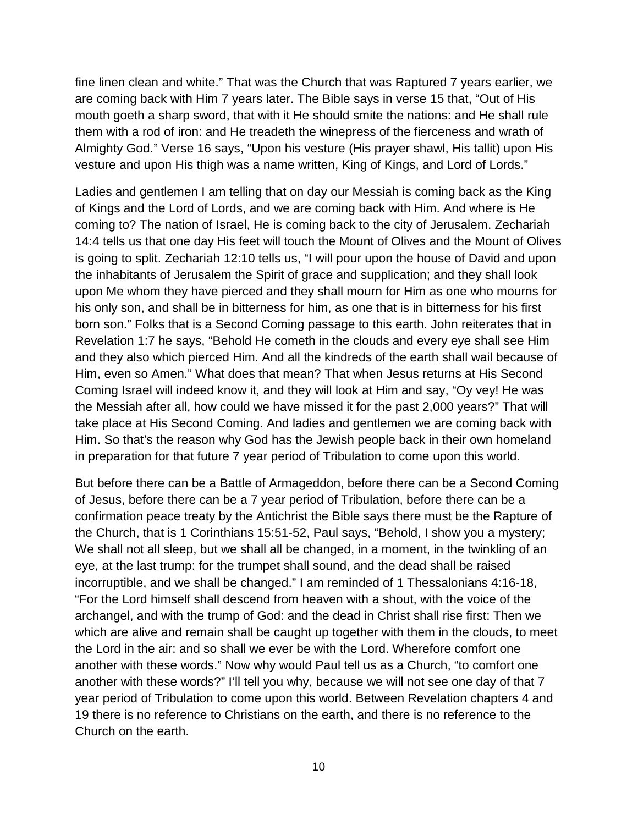fine linen clean and white." That was the Church that was Raptured 7 years earlier, we are coming back with Him 7 years later. The Bible says in verse 15 that, "Out of His mouth goeth a sharp sword, that with it He should smite the nations: and He shall rule them with a rod of iron: and He treadeth the winepress of the fierceness and wrath of Almighty God." Verse 16 says, "Upon his vesture (His prayer shawl, His tallit) upon His vesture and upon His thigh was a name written, King of Kings, and Lord of Lords."

Ladies and gentlemen I am telling that on day our Messiah is coming back as the King of Kings and the Lord of Lords, and we are coming back with Him. And where is He coming to? The nation of Israel, He is coming back to the city of Jerusalem. Zechariah 14:4 tells us that one day His feet will touch the Mount of Olives and the Mount of Olives is going to split. Zechariah 12:10 tells us, "I will pour upon the house of David and upon the inhabitants of Jerusalem the Spirit of grace and supplication; and they shall look upon Me whom they have pierced and they shall mourn for Him as one who mourns for his only son, and shall be in bitterness for him, as one that is in bitterness for his first born son." Folks that is a Second Coming passage to this earth. John reiterates that in Revelation 1:7 he says, "Behold He cometh in the clouds and every eye shall see Him and they also which pierced Him. And all the kindreds of the earth shall wail because of Him, even so Amen." What does that mean? That when Jesus returns at His Second Coming Israel will indeed know it, and they will look at Him and say, "Oy vey! He was the Messiah after all, how could we have missed it for the past 2,000 years?" That will take place at His Second Coming. And ladies and gentlemen we are coming back with Him. So that's the reason why God has the Jewish people back in their own homeland in preparation for that future 7 year period of Tribulation to come upon this world.

But before there can be a Battle of Armageddon, before there can be a Second Coming of Jesus, before there can be a 7 year period of Tribulation, before there can be a confirmation peace treaty by the Antichrist the Bible says there must be the Rapture of the Church, that is 1 Corinthians 15:51-52, Paul says, "Behold, I show you a mystery; We shall not all sleep, but we shall all be changed, in a moment, in the twinkling of an eye, at the last trump: for the trumpet shall sound, and the dead shall be raised incorruptible, and we shall be changed." I am reminded of 1 Thessalonians 4:16-18, "For the Lord himself shall descend from heaven with a shout, with the voice of the archangel, and with the trump of God: and the dead in Christ shall rise first: Then we which are alive and remain shall be caught up together with them in the clouds, to meet the Lord in the air: and so shall we ever be with the Lord. Wherefore comfort one another with these words." Now why would Paul tell us as a Church, "to comfort one another with these words?" I'll tell you why, because we will not see one day of that 7 year period of Tribulation to come upon this world. Between Revelation chapters 4 and 19 there is no reference to Christians on the earth, and there is no reference to the Church on the earth.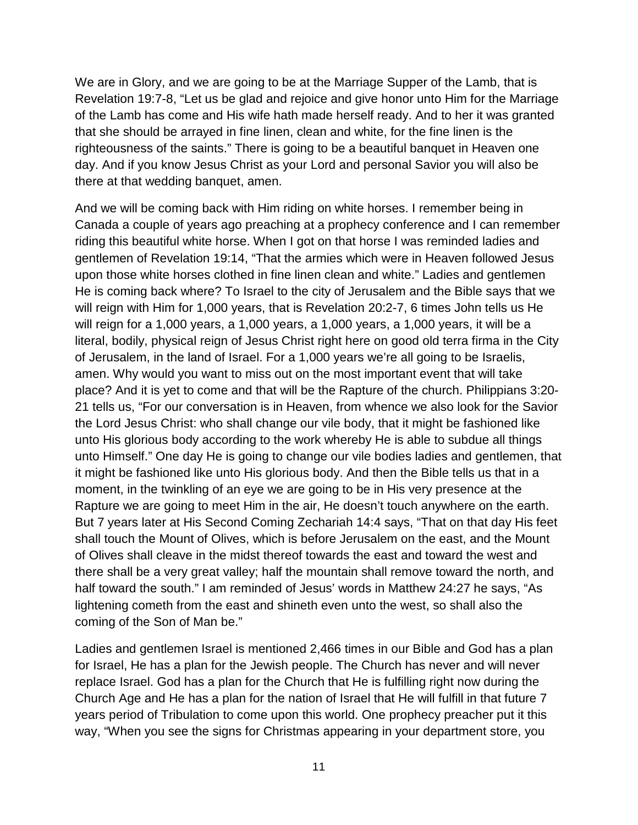We are in Glory, and we are going to be at the Marriage Supper of the Lamb, that is Revelation 19:7-8, "Let us be glad and rejoice and give honor unto Him for the Marriage of the Lamb has come and His wife hath made herself ready. And to her it was granted that she should be arrayed in fine linen, clean and white, for the fine linen is the righteousness of the saints." There is going to be a beautiful banquet in Heaven one day. And if you know Jesus Christ as your Lord and personal Savior you will also be there at that wedding banquet, amen.

And we will be coming back with Him riding on white horses. I remember being in Canada a couple of years ago preaching at a prophecy conference and I can remember riding this beautiful white horse. When I got on that horse I was reminded ladies and gentlemen of Revelation 19:14, "That the armies which were in Heaven followed Jesus upon those white horses clothed in fine linen clean and white." Ladies and gentlemen He is coming back where? To Israel to the city of Jerusalem and the Bible says that we will reign with Him for 1,000 years, that is Revelation 20:2-7, 6 times John tells us He will reign for a 1,000 years, a 1,000 years, a 1,000 years, a 1,000 years, it will be a literal, bodily, physical reign of Jesus Christ right here on good old terra firma in the City of Jerusalem, in the land of Israel. For a 1,000 years we're all going to be Israelis, amen. Why would you want to miss out on the most important event that will take place? And it is yet to come and that will be the Rapture of the church. Philippians 3:20- 21 tells us, "For our conversation is in Heaven, from whence we also look for the Savior the Lord Jesus Christ: who shall change our vile body, that it might be fashioned like unto His glorious body according to the work whereby He is able to subdue all things unto Himself." One day He is going to change our vile bodies ladies and gentlemen, that it might be fashioned like unto His glorious body. And then the Bible tells us that in a moment, in the twinkling of an eye we are going to be in His very presence at the Rapture we are going to meet Him in the air, He doesn't touch anywhere on the earth. But 7 years later at His Second Coming Zechariah 14:4 says, "That on that day His feet shall touch the Mount of Olives, which is before Jerusalem on the east, and the Mount of Olives shall cleave in the midst thereof towards the east and toward the west and there shall be a very great valley; half the mountain shall remove toward the north, and half toward the south." I am reminded of Jesus' words in Matthew 24:27 he says, "As lightening cometh from the east and shineth even unto the west, so shall also the coming of the Son of Man be."

Ladies and gentlemen Israel is mentioned 2,466 times in our Bible and God has a plan for Israel, He has a plan for the Jewish people. The Church has never and will never replace Israel. God has a plan for the Church that He is fulfilling right now during the Church Age and He has a plan for the nation of Israel that He will fulfill in that future 7 years period of Tribulation to come upon this world. One prophecy preacher put it this way, "When you see the signs for Christmas appearing in your department store, you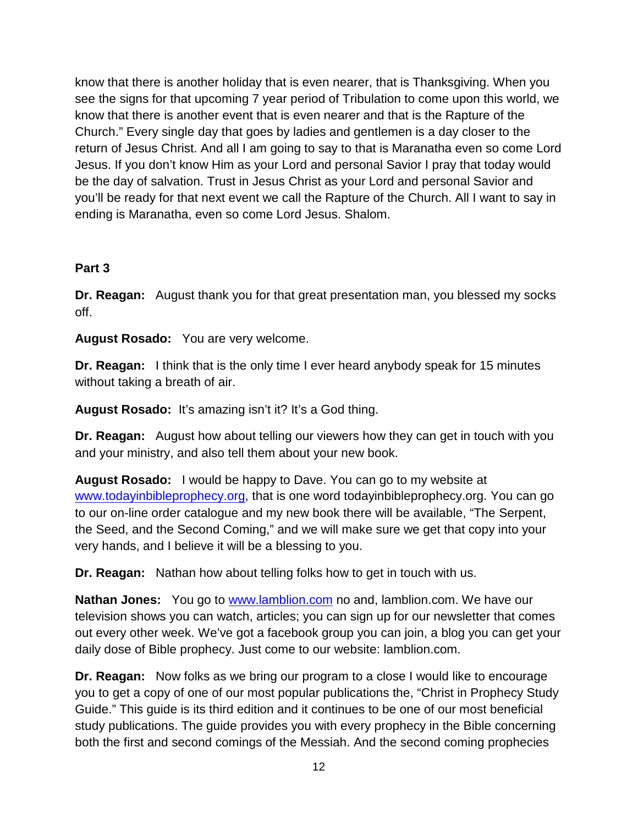know that there is another holiday that is even nearer, that is Thanksgiving. When you see the signs for that upcoming 7 year period of Tribulation to come upon this world, we know that there is another event that is even nearer and that is the Rapture of the Church." Every single day that goes by ladies and gentlemen is a day closer to the return of Jesus Christ. And all I am going to say to that is Maranatha even so come Lord Jesus. If you don't know Him as your Lord and personal Savior I pray that today would be the day of salvation. Trust in Jesus Christ as your Lord and personal Savior and you'll be ready for that next event we call the Rapture of the Church. All I want to say in ending is Maranatha, even so come Lord Jesus. Shalom.

#### **Part 3**

**Dr. Reagan:** August thank you for that great presentation man, you blessed my socks off.

**August Rosado:** You are very welcome.

**Dr. Reagan:** I think that is the only time I ever heard anybody speak for 15 minutes without taking a breath of air.

**August Rosado:** It's amazing isn't it? It's a God thing.

**Dr. Reagan:** August how about telling our viewers how they can get in touch with you and your ministry, and also tell them about your new book.

**August Rosado:** I would be happy to Dave. You can go to my website at [www.todayinbibleprophecy.org,](http://www.todayinbibleprophecy.org/) that is one word todayinbibleprophecy.org. You can go to our on-line order catalogue and my new book there will be available, "The Serpent, the Seed, and the Second Coming," and we will make sure we get that copy into your very hands, and I believe it will be a blessing to you.

**Dr. Reagan:** Nathan how about telling folks how to get in touch with us.

**Nathan Jones:** You go to **www.lamblion.com** no and, lamblion.com. We have our television shows you can watch, articles; you can sign up for our newsletter that comes out every other week. We've got a facebook group you can join, a blog you can get your daily dose of Bible prophecy. Just come to our website: lamblion.com.

**Dr. Reagan:** Now folks as we bring our program to a close I would like to encourage you to get a copy of one of our most popular publications the, "Christ in Prophecy Study Guide." This guide is its third edition and it continues to be one of our most beneficial study publications. The guide provides you with every prophecy in the Bible concerning both the first and second comings of the Messiah. And the second coming prophecies